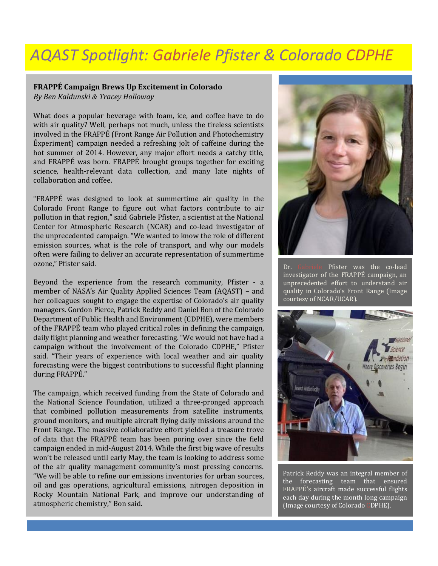## *AQAST Spotlight: Gabriele Pfister & Colorado CDPHE*

## **FRAPPÉ Campaign Brews Up Excitement in Colorado**

*By Ben Kaldunski & Tracey Holloway*

What does a popular beverage with foam, ice, and coffee have to do with air quality? Well, perhaps not much, unless the tireless scientists involved in the FRAPPÉ (Front Range Air Pollution and Photochemistry Éxperiment) campaign needed a refreshing jolt of caffeine during the hot summer of 2014. However, any major effort needs a catchy title, and FRAPPÉ was born. FRAPPÉ brought groups together for exciting science, health-relevant data collection, and many late nights of collaboration and coffee.

"FRAPPÉ was designed to look at summertime air quality in the Colorado Front Range to figure out what factors contribute to air pollution in that region," said Gabriele Pfister, a scientist at the National Center for Atmospheric Research (NCAR) and co-lead investigator of the unprecedented campaign. "We wanted to know the role of different emission sources, what is the role of transport, and why our models often were failing to deliver an accurate representation of summertime ozone," Pfister said.

Beyond the experience from the research community, Pfister - a member of NASA's Air Quality Applied Sciences Team (AQAST) – and her colleagues sought to engage the expertise of Colorado's air quality managers. Gordon Pierce, Patrick Reddy and Daniel Bon of the Colorado Department of Public Health and Environment (CDPHE), were members of the FRAPPÉ team who played critical roles in defining the campaign, daily flight planning and weather forecasting. "We would not have had a campaign without the involvement of the Colorado CDPHE," Pfister said. "Their years of experience with local weather and air quality forecasting were the biggest contributions to successful flight planning during FRAPPÉ."

The campaign, which received funding from the State of Colorado and the National Science Foundation, utilized a three-pronged approach that combined pollution measurements from satellite instruments, ground monitors, and multiple aircraft flying daily missions around the Front Range. The massive collaborative effort yielded a treasure trove of data that the FRAPPÉ team has been poring over since the field campaign ended in mid-August 2014. While the first big wave of results won't be released until early May, the team is looking to address some of the air quality management community's most pressing concerns. "We will be able to refine our emissions inventories for urban sources, oil and gas operations, agricultural emissions, nitrogen deposition in Rocky Mountain National Park, and improve our understanding of atmospheric chemistry," Bon said.



Dr. Gabriele Pfister was the co-lead investigator of the FRAPPÉ campaign, an unprecedented effort to understand air quality in Colorado's Front Range (Image courtesy of NCAR/UCAR).



Patrick Reddy was an integral member of the forecasting team that ensured FRAPPÉ's aircraft made successful flights each day during the month long campaign (Image courtesy of Colorado CDPHE).